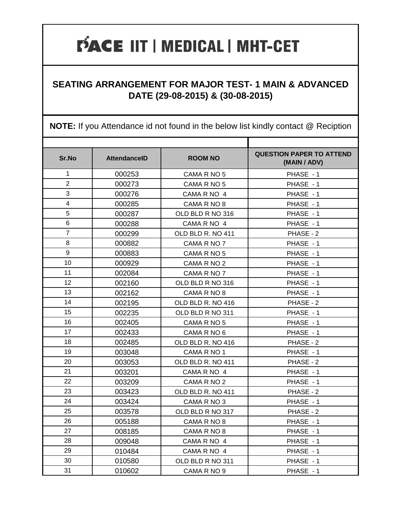#### **SEATING ARRANGEMENT FOR MAJOR TEST- 1 MAIN & ADVANCED DATE (29-08-2015) & (30-08-2015)**

| Sr.No          | <b>AttendanceID</b> | <b>ROOM NO</b>    | <b>QUESTION PAPER TO ATTEND</b><br>(MAIN / ADV) |
|----------------|---------------------|-------------------|-------------------------------------------------|
| 1              | 000253              | CAMA R NO 5       | PHASE - 1                                       |
| $\overline{2}$ | 000273              | CAMA R NO 5       | PHASE - 1                                       |
| 3              | 000276              | CAMA R NO 4       | PHASE - 1                                       |
| $\overline{4}$ | 000285              | CAMA R NO 8       | PHASE - 1                                       |
| 5              | 000287              | OLD BLD R NO 316  | PHASE - 1                                       |
| 6              | 000288              | CAMA R NO 4       | PHASE - 1                                       |
| $\overline{7}$ | 000299              | OLD BLD R. NO 411 | PHASE - 2                                       |
| 8              | 000882              | CAMA R NO 7       | PHASE - 1                                       |
| 9              | 000883              | CAMA R NO 5       | PHASE - 1                                       |
| 10             | 000929              | CAMA R NO 2       | PHASE - 1                                       |
| 11             | 002084              | CAMA R NO 7       | PHASE - 1                                       |
| 12             | 002160              | OLD BLD R NO 316  | PHASE - 1                                       |
| 13             | 002162              | CAMA R NO 8       | PHASE - 1                                       |
| 14             | 002195              | OLD BLD R. NO 416 | PHASE - 2                                       |
| 15             | 002235              | OLD BLD R NO 311  | PHASE - 1                                       |
| 16             | 002405              | CAMA R NO 5       | PHASE - 1                                       |
| 17             | 002433              | CAMA R NO 6       | PHASE - 1                                       |
| 18             | 002485              | OLD BLD R. NO 416 | PHASE - 2                                       |
| 19             | 003048              | CAMA R NO 1       | PHASE - 1                                       |
| 20             | 003053              | OLD BLD R. NO 411 | PHASE - 2                                       |
| 21             | 003201              | CAMA R NO 4       | PHASE - 1                                       |
| 22             | 003209              | CAMA R NO 2       | PHASE - 1                                       |
| 23             | 003423              | OLD BLD R. NO 411 | PHASE - 2                                       |
| 24             | 003424              | CAMA R NO 3       | PHASE - 1                                       |
| 25             | 003578              | OLD BLD R NO 317  | PHASE - 2                                       |
| 26             | 005188              | CAMA R NO 8       | PHASE - 1                                       |
| 27             | 008185              | CAMA R NO 8       | PHASE - 1                                       |
| 28             | 009048              | CAMA R NO 4       | PHASE - 1                                       |
| 29             | 010484              | CAMA R NO 4       | PHASE - 1                                       |
| 30             | 010580              | OLD BLD R NO 311  | PHASE - 1                                       |
| 31             | 010602              | CAMA R NO 9       | PHASE - 1                                       |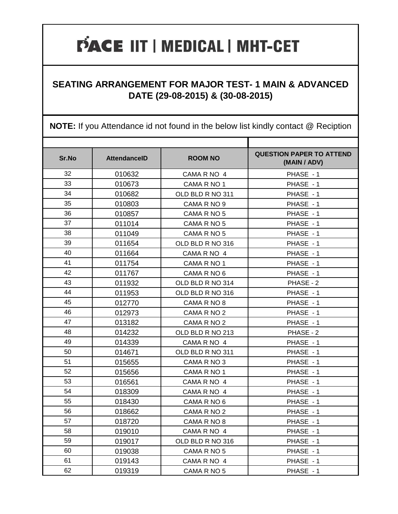#### **SEATING ARRANGEMENT FOR MAJOR TEST- 1 MAIN & ADVANCED DATE (29-08-2015) & (30-08-2015)**

| Sr.No | <b>AttendanceID</b> | <b>ROOM NO</b>   | <b>QUESTION PAPER TO ATTEND</b><br>(MAIN / ADV) |
|-------|---------------------|------------------|-------------------------------------------------|
| 32    | 010632              | CAMA R NO 4      | PHASE - 1                                       |
| 33    | 010673              | CAMA R NO 1      | PHASE - 1                                       |
| 34    | 010682              | OLD BLD R NO 311 | PHASE - 1                                       |
| 35    | 010803              | CAMA R NO 9      | PHASE - 1                                       |
| 36    | 010857              | CAMA R NO 5      | PHASE - 1                                       |
| 37    | 011014              | CAMA R NO 5      | PHASE - 1                                       |
| 38    | 011049              | CAMA R NO 5      | PHASE - 1                                       |
| 39    | 011654              | OLD BLD R NO 316 | PHASE - 1                                       |
| 40    | 011664              | CAMA R NO 4      | PHASE - 1                                       |
| 41    | 011754              | CAMA R NO 1      | PHASE - 1                                       |
| 42    | 011767              | CAMA R NO 6      | PHASE - 1                                       |
| 43    | 011932              | OLD BLD R NO 314 | PHASE - 2                                       |
| 44    | 011953              | OLD BLD R NO 316 | PHASE - 1                                       |
| 45    | 012770              | CAMA R NO 8      | PHASE - 1                                       |
| 46    | 012973              | CAMA R NO 2      | PHASE - 1                                       |
| 47    | 013182              | CAMA R NO 2      | PHASE - 1                                       |
| 48    | 014232              | OLD BLD R NO 213 | PHASE - 2                                       |
| 49    | 014339              | CAMA R NO 4      | PHASE - 1                                       |
| 50    | 014671              | OLD BLD R NO 311 | PHASE - 1                                       |
| 51    | 015655              | CAMA R NO 3      | PHASE - 1                                       |
| 52    | 015656              | CAMA R NO 1      | PHASE - 1                                       |
| 53    | 016561              | CAMA R NO 4      | PHASE - 1                                       |
| 54    | 018309              | CAMA R NO 4      | PHASE - 1                                       |
| 55    | 018430              | CAMA R NO 6      | PHASE - 1                                       |
| 56    | 018662              | CAMA R NO 2      | PHASE - 1                                       |
| 57    | 018720              | CAMA R NO 8      | PHASE - 1                                       |
| 58    | 019010              | CAMA R NO 4      | PHASE - 1                                       |
| 59    | 019017              | OLD BLD R NO 316 | PHASE - 1                                       |
| 60    | 019038              | CAMA R NO 5      | PHASE - 1                                       |
| 61    | 019143              | CAMA R NO 4      | PHASE - 1                                       |
| 62    | 019319              | CAMA R NO 5      | PHASE - 1                                       |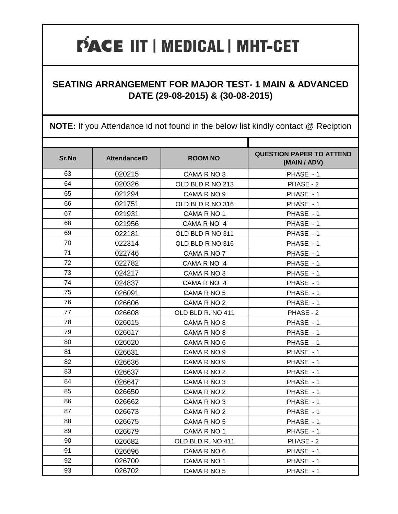#### **SEATING ARRANGEMENT FOR MAJOR TEST- 1 MAIN & ADVANCED DATE (29-08-2015) & (30-08-2015)**

| Sr.No | <b>AttendanceID</b> | <b>ROOM NO</b>    | <b>QUESTION PAPER TO ATTEND</b><br>(MAIN / ADV) |
|-------|---------------------|-------------------|-------------------------------------------------|
| 63    | 020215              | CAMA R NO 3       | PHASE - 1                                       |
| 64    | 020326              | OLD BLD R NO 213  | PHASE - 2                                       |
| 65    | 021294              | CAMA R NO 9       | PHASE - 1                                       |
| 66    | 021751              | OLD BLD R NO 316  | PHASE - 1                                       |
| 67    | 021931              | CAMA R NO 1       | PHASE - 1                                       |
| 68    | 021956              | CAMA R NO 4       | PHASE - 1                                       |
| 69    | 022181              | OLD BLD R NO 311  | PHASE - 1                                       |
| 70    | 022314              | OLD BLD R NO 316  | PHASE - 1                                       |
| 71    | 022746              | CAMA R NO 7       | PHASE - 1                                       |
| 72    | 022782              | CAMA R NO 4       | PHASE - 1                                       |
| 73    | 024217              | CAMA R NO 3       | PHASE - 1                                       |
| 74    | 024837              | CAMA R NO 4       | PHASE - 1                                       |
| 75    | 026091              | CAMA R NO 5       | PHASE - 1                                       |
| 76    | 026606              | CAMA R NO 2       | PHASE - 1                                       |
| 77    | 026608              | OLD BLD R. NO 411 | PHASE - 2                                       |
| 78    | 026615              | CAMA R NO 8       | PHASE - 1                                       |
| 79    | 026617              | CAMA R NO 8       | PHASE - 1                                       |
| 80    | 026620              | CAMA R NO 6       | PHASE - 1                                       |
| 81    | 026631              | CAMA R NO 9       | PHASE - 1                                       |
| 82    | 026636              | CAMA R NO 9       | PHASE - 1                                       |
| 83    | 026637              | CAMA R NO 2       | PHASE - 1                                       |
| 84    | 026647              | CAMA R NO 3       | PHASE - 1                                       |
| 85    | 026650              | CAMA R NO 2       | PHASE - 1                                       |
| 86    | 026662              | CAMA R NO 3       | PHASE - 1                                       |
| 87    | 026673              | CAMA R NO 2       | PHASE - 1                                       |
| 88    | 026675              | CAMA R NO 5       | PHASE - 1                                       |
| 89    | 026679              | CAMA R NO 1       | PHASE - 1                                       |
| 90    | 026682              | OLD BLD R. NO 411 | PHASE - 2                                       |
| 91    | 026696              | CAMA R NO 6       | PHASE - 1                                       |
| 92    | 026700              | CAMA R NO 1       | PHASE - 1                                       |
| 93    | 026702              | CAMA R NO 5       | PHASE - 1                                       |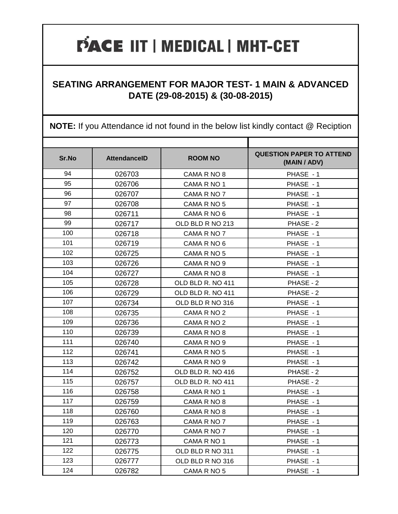#### **SEATING ARRANGEMENT FOR MAJOR TEST- 1 MAIN & ADVANCED DATE (29-08-2015) & (30-08-2015)**

| Sr.No | <b>AttendanceID</b> | <b>ROOM NO</b>    | <b>QUESTION PAPER TO ATTEND</b><br>(MAIN / ADV) |
|-------|---------------------|-------------------|-------------------------------------------------|
| 94    | 026703              | CAMA R NO 8       | PHASE - 1                                       |
| 95    | 026706              | CAMA R NO 1       | PHASE - 1                                       |
| 96    | 026707              | CAMA R NO 7       | PHASE - 1                                       |
| 97    | 026708              | CAMA R NO 5       | PHASE - 1                                       |
| 98    | 026711              | CAMA R NO 6       | PHASE - 1                                       |
| 99    | 026717              | OLD BLD R NO 213  | PHASE - 2                                       |
| 100   | 026718              | CAMA R NO 7       | PHASE - 1                                       |
| 101   | 026719              | CAMA R NO 6       | PHASE - 1                                       |
| 102   | 026725              | CAMA R NO 5       | PHASE - 1                                       |
| 103   | 026726              | CAMA R NO 9       | PHASE - 1                                       |
| 104   | 026727              | CAMA R NO 8       | PHASE - 1                                       |
| 105   | 026728              | OLD BLD R. NO 411 | PHASE - 2                                       |
| 106   | 026729              | OLD BLD R. NO 411 | PHASE - 2                                       |
| 107   | 026734              | OLD BLD R NO 316  | PHASE - 1                                       |
| 108   | 026735              | CAMA R NO 2       | PHASE - 1                                       |
| 109   | 026736              | CAMA R NO 2       | PHASE - 1                                       |
| 110   | 026739              | CAMA R NO 8       | PHASE - 1                                       |
| 111   | 026740              | CAMA R NO 9       | PHASE - 1                                       |
| 112   | 026741              | CAMA R NO 5       | PHASE - 1                                       |
| 113   | 026742              | CAMA R NO 9       | PHASE - 1                                       |
| 114   | 026752              | OLD BLD R. NO 416 | PHASE - 2                                       |
| 115   | 026757              | OLD BLD R. NO 411 | PHASE - 2                                       |
| 116   | 026758              | CAMA R NO 1       | PHASE - 1                                       |
| 117   | 026759              | CAMA R NO 8       | PHASE - 1                                       |
| 118   | 026760              | CAMA R NO 8       | PHASE - 1                                       |
| 119   | 026763              | CAMA R NO 7       | PHASE - 1                                       |
| 120   | 026770              | CAMA R NO 7       | PHASE - 1                                       |
| 121   | 026773              | CAMA R NO 1       | PHASE - 1                                       |
| 122   | 026775              | OLD BLD R NO 311  | PHASE - 1                                       |
| 123   | 026777              | OLD BLD R NO 316  | PHASE - 1                                       |
| 124   | 026782              | CAMA R NO 5       | PHASE - 1                                       |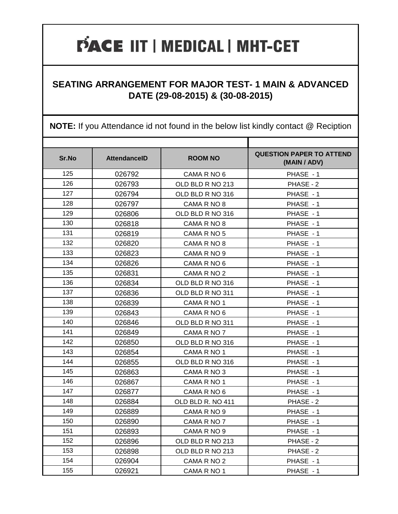#### **SEATING ARRANGEMENT FOR MAJOR TEST- 1 MAIN & ADVANCED DATE (29-08-2015) & (30-08-2015)**

| Sr.No | <b>AttendanceID</b> | <b>ROOM NO</b>    | <b>QUESTION PAPER TO ATTEND</b><br>(MAIN / ADV) |
|-------|---------------------|-------------------|-------------------------------------------------|
| 125   | 026792              | CAMA R NO 6       | PHASE - 1                                       |
| 126   | 026793              | OLD BLD R NO 213  | PHASE - 2                                       |
| 127   | 026794              | OLD BLD R NO 316  | PHASE - 1                                       |
| 128   | 026797              | CAMA R NO 8       | PHASE - 1                                       |
| 129   | 026806              | OLD BLD R NO 316  | PHASE - 1                                       |
| 130   | 026818              | CAMA R NO 8       | PHASE - 1                                       |
| 131   | 026819              | CAMA R NO 5       | PHASE - 1                                       |
| 132   | 026820              | CAMA R NO 8       | PHASE - 1                                       |
| 133   | 026823              | CAMA R NO 9       | PHASE - 1                                       |
| 134   | 026826              | CAMA R NO 6       | PHASE - 1                                       |
| 135   | 026831              | CAMA R NO 2       | PHASE - 1                                       |
| 136   | 026834              | OLD BLD R NO 316  | PHASE - 1                                       |
| 137   | 026836              | OLD BLD R NO 311  | PHASE - 1                                       |
| 138   | 026839              | CAMA R NO 1       | PHASE - 1                                       |
| 139   | 026843              | CAMA R NO 6       | PHASE - 1                                       |
| 140   | 026846              | OLD BLD R NO 311  | PHASE - 1                                       |
| 141   | 026849              | CAMA R NO 7       | PHASE - 1                                       |
| 142   | 026850              | OLD BLD R NO 316  | PHASE - 1                                       |
| 143   | 026854              | CAMA R NO 1       | PHASE - 1                                       |
| 144   | 026855              | OLD BLD R NO 316  | PHASE - 1                                       |
| 145   | 026863              | CAMA R NO 3       | PHASE - 1                                       |
| 146   | 026867              | CAMA R NO 1       | PHASE - 1                                       |
| 147   | 026877              | CAMA R NO 6       | PHASE - 1                                       |
| 148   | 026884              | OLD BLD R. NO 411 | PHASE - 2                                       |
| 149   | 026889              | CAMA R NO 9       | PHASE - 1                                       |
| 150   | 026890              | CAMA R NO 7       | PHASE - 1                                       |
| 151   | 026893              | CAMA R NO 9       | PHASE - 1                                       |
| 152   | 026896              | OLD BLD R NO 213  | PHASE - 2                                       |
| 153   | 026898              | OLD BLD R NO 213  | PHASE - 2                                       |
| 154   | 026904              | CAMA R NO 2       | PHASE - 1                                       |
| 155   | 026921              | CAMA R NO 1       | PHASE - 1                                       |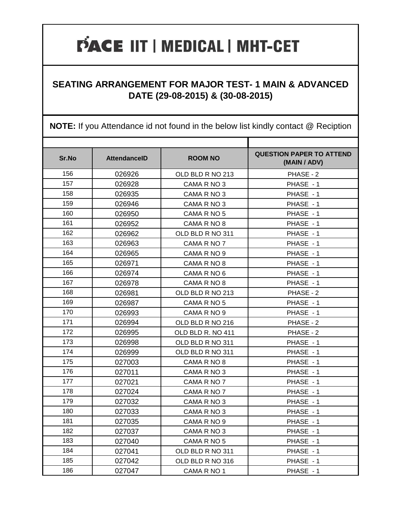#### **SEATING ARRANGEMENT FOR MAJOR TEST- 1 MAIN & ADVANCED DATE (29-08-2015) & (30-08-2015)**

| Sr.No | <b>AttendanceID</b> | <b>ROOM NO</b>    | <b>QUESTION PAPER TO ATTEND</b><br>(MAIN / ADV) |
|-------|---------------------|-------------------|-------------------------------------------------|
| 156   | 026926              | OLD BLD R NO 213  | PHASE - 2                                       |
| 157   | 026928              | CAMA R NO 3       | PHASE - 1                                       |
| 158   | 026935              | CAMA R NO 3       | PHASE - 1                                       |
| 159   | 026946              | CAMA R NO 3       | PHASE - 1                                       |
| 160   | 026950              | CAMA R NO 5       | PHASE - 1                                       |
| 161   | 026952              | CAMA R NO 8       | PHASE - 1                                       |
| 162   | 026962              | OLD BLD R NO 311  | PHASE - 1                                       |
| 163   | 026963              | CAMA R NO 7       | PHASE - 1                                       |
| 164   | 026965              | CAMA R NO 9       | PHASE - 1                                       |
| 165   | 026971              | CAMA R NO 8       | PHASE - 1                                       |
| 166   | 026974              | CAMA R NO 6       | PHASE - 1                                       |
| 167   | 026978              | CAMA R NO 8       | PHASE - 1                                       |
| 168   | 026981              | OLD BLD R NO 213  | PHASE - 2                                       |
| 169   | 026987              | CAMA R NO 5       | PHASE - 1                                       |
| 170   | 026993              | CAMA R NO 9       | PHASE - 1                                       |
| 171   | 026994              | OLD BLD R NO 216  | PHASE - 2                                       |
| 172   | 026995              | OLD BLD R. NO 411 | PHASE - 2                                       |
| 173   | 026998              | OLD BLD R NO 311  | PHASE - 1                                       |
| 174   | 026999              | OLD BLD R NO 311  | PHASE - 1                                       |
| 175   | 027003              | CAMA R NO 8       | PHASE - 1                                       |
| 176   | 027011              | CAMA R NO 3       | PHASE - 1                                       |
| 177   | 027021              | CAMA R NO 7       | PHASE - 1                                       |
| 178   | 027024              | CAMA R NO 7       | PHASE - 1                                       |
| 179   | 027032              | CAMA R NO 3       | PHASE - 1                                       |
| 180   | 027033              | CAMA R NO 3       | PHASE - 1                                       |
| 181   | 027035              | CAMA R NO 9       | PHASE - 1                                       |
| 182   | 027037              | CAMA R NO 3       | PHASE - 1                                       |
| 183   | 027040              | CAMA R NO 5       | PHASE - 1                                       |
| 184   | 027041              | OLD BLD R NO 311  | PHASE - 1                                       |
| 185   | 027042              | OLD BLD R NO 316  | PHASE - 1                                       |
| 186   | 027047              | CAMA R NO 1       | PHASE - 1                                       |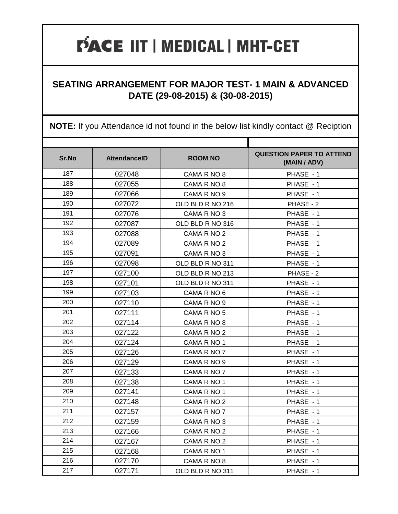#### **SEATING ARRANGEMENT FOR MAJOR TEST- 1 MAIN & ADVANCED DATE (29-08-2015) & (30-08-2015)**

| Sr.No | <b>AttendanceID</b> | <b>ROOM NO</b>   | <b>QUESTION PAPER TO ATTEND</b><br>(MAIN / ADV) |
|-------|---------------------|------------------|-------------------------------------------------|
| 187   | 027048              | CAMA R NO 8      | PHASE - 1                                       |
| 188   | 027055              | CAMA R NO 8      | PHASE - 1                                       |
| 189   | 027066              | CAMA R NO 9      | PHASE - 1                                       |
| 190   | 027072              | OLD BLD R NO 216 | PHASE - 2                                       |
| 191   | 027076              | CAMA R NO 3      | PHASE - 1                                       |
| 192   | 027087              | OLD BLD R NO 316 | PHASE - 1                                       |
| 193   | 027088              | CAMA R NO 2      | PHASE - 1                                       |
| 194   | 027089              | CAMA R NO 2      | PHASE - 1                                       |
| 195   | 027091              | CAMA R NO 3      | PHASE - 1                                       |
| 196   | 027098              | OLD BLD R NO 311 | PHASE - 1                                       |
| 197   | 027100              | OLD BLD R NO 213 | PHASE - 2                                       |
| 198   | 027101              | OLD BLD R NO 311 | PHASE - 1                                       |
| 199   | 027103              | CAMA R NO 6      | PHASE - 1                                       |
| 200   | 027110              | CAMA R NO 9      | PHASE - 1                                       |
| 201   | 027111              | CAMA R NO 5      | PHASE - 1                                       |
| 202   | 027114              | CAMA R NO 8      | PHASE - 1                                       |
| 203   | 027122              | CAMA R NO 2      | PHASE - 1                                       |
| 204   | 027124              | CAMA R NO 1      | PHASE - 1                                       |
| 205   | 027126              | CAMA R NO 7      | PHASE - 1                                       |
| 206   | 027129              | CAMA R NO 9      | PHASE - 1                                       |
| 207   | 027133              | CAMA R NO 7      | PHASE - 1                                       |
| 208   | 027138              | CAMA R NO 1      | PHASE - 1                                       |
| 209   | 027141              | CAMA R NO 1      | PHASE - 1                                       |
| 210   | 027148              | CAMA R NO 2      | PHASE - 1                                       |
| 211   | 027157              | CAMA R NO 7      | PHASE - 1                                       |
| 212   | 027159              | CAMA R NO 3      | PHASE - 1                                       |
| 213   | 027166              | CAMA R NO 2      | PHASE - 1                                       |
| 214   | 027167              | CAMA R NO 2      | PHASE - 1                                       |
| 215   | 027168              | CAMA R NO 1      | PHASE - 1                                       |
| 216   | 027170              | CAMA R NO 8      | PHASE - 1                                       |
| 217   | 027171              | OLD BLD R NO 311 | PHASE - 1                                       |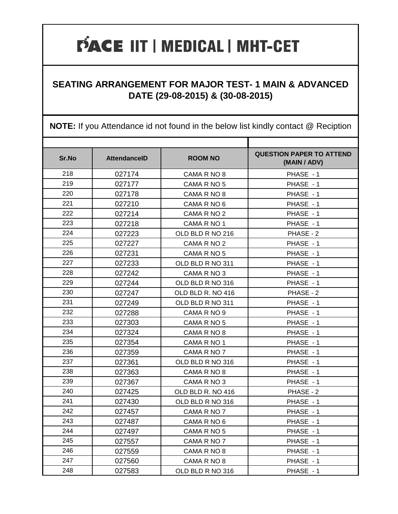#### **SEATING ARRANGEMENT FOR MAJOR TEST- 1 MAIN & ADVANCED DATE (29-08-2015) & (30-08-2015)**

| Sr.No | <b>AttendanceID</b> | <b>ROOM NO</b>    | <b>QUESTION PAPER TO ATTEND</b><br>(MAIN / ADV) |
|-------|---------------------|-------------------|-------------------------------------------------|
| 218   | 027174              | CAMA R NO 8       | PHASE - 1                                       |
| 219   | 027177              | CAMA R NO 5       | PHASE - 1                                       |
| 220   | 027178              | CAMA R NO 8       | PHASE - 1                                       |
| 221   | 027210              | CAMA R NO 6       | PHASE - 1                                       |
| 222   | 027214              | CAMA R NO 2       | PHASE - 1                                       |
| 223   | 027218              | CAMA R NO 1       | PHASE - 1                                       |
| 224   | 027223              | OLD BLD R NO 216  | PHASE - 2                                       |
| 225   | 027227              | CAMA R NO 2       | PHASE - 1                                       |
| 226   | 027231              | CAMA R NO 5       | PHASE - 1                                       |
| 227   | 027233              | OLD BLD R NO 311  | PHASE - 1                                       |
| 228   | 027242              | CAMA R NO 3       | PHASE - 1                                       |
| 229   | 027244              | OLD BLD R NO 316  | PHASE - 1                                       |
| 230   | 027247              | OLD BLD R. NO 416 | PHASE - 2                                       |
| 231   | 027249              | OLD BLD R NO 311  | PHASE - 1                                       |
| 232   | 027288              | CAMA R NO 9       | PHASE - 1                                       |
| 233   | 027303              | CAMA R NO 5       | PHASE - 1                                       |
| 234   | 027324              | CAMA R NO 8       | PHASE - 1                                       |
| 235   | 027354              | CAMA R NO 1       | PHASE - 1                                       |
| 236   | 027359              | CAMA R NO 7       | PHASE - 1                                       |
| 237   | 027361              | OLD BLD R NO 316  | PHASE - 1                                       |
| 238   | 027363              | CAMA R NO 8       | PHASE - 1                                       |
| 239   | 027367              | CAMA R NO 3       | PHASE - 1                                       |
| 240   | 027425              | OLD BLD R. NO 416 | PHASE - 2                                       |
| 241   | 027430              | OLD BLD R NO 316  | PHASE - 1                                       |
| 242   | 027457              | CAMA R NO 7       | PHASE - 1                                       |
| 243   | 027487              | CAMA R NO 6       | PHASE - 1                                       |
| 244   | 027497              | CAMA R NO 5       | PHASE - 1                                       |
| 245   | 027557              | CAMA R NO 7       | PHASE - 1                                       |
| 246   | 027559              | CAMA R NO 8       | PHASE - 1                                       |
| 247   | 027560              | CAMA R NO 8       | PHASE - 1                                       |
| 248   | 027583              | OLD BLD R NO 316  | PHASE - 1                                       |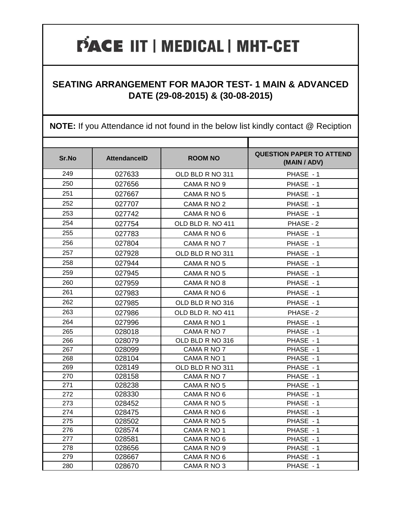#### **SEATING ARRANGEMENT FOR MAJOR TEST- 1 MAIN & ADVANCED DATE (29-08-2015) & (30-08-2015)**

| Sr.No | <b>AttendanceID</b> | <b>ROOM NO</b>    | <b>QUESTION PAPER TO ATTEND</b><br>(MAIN / ADV) |
|-------|---------------------|-------------------|-------------------------------------------------|
| 249   | 027633              | OLD BLD R NO 311  | PHASE - 1                                       |
| 250   | 027656              | CAMA R NO 9       | PHASE - 1                                       |
| 251   | 027667              | CAMA R NO 5       | PHASE - 1                                       |
| 252   | 027707              | CAMA R NO 2       | PHASE - 1                                       |
| 253   | 027742              | CAMA R NO 6       | PHASE - 1                                       |
| 254   | 027754              | OLD BLD R. NO 411 | PHASE - 2                                       |
| 255   | 027783              | CAMA R NO 6       | PHASE - 1                                       |
| 256   | 027804              | CAMA R NO 7       | PHASE - 1                                       |
| 257   | 027928              | OLD BLD R NO 311  | PHASE - 1                                       |
| 258   | 027944              | CAMA R NO 5       | PHASE - 1                                       |
| 259   | 027945              | CAMA R NO 5       | PHASE - 1                                       |
| 260   | 027959              | CAMA R NO 8       | PHASE - 1                                       |
| 261   | 027983              | CAMA R NO 6       | PHASE - 1                                       |
| 262   | 027985              | OLD BLD R NO 316  | PHASE - 1                                       |
| 263   | 027986              | OLD BLD R. NO 411 | PHASE - 2                                       |
| 264   | 027996              | CAMA R NO 1       | PHASE - 1                                       |
| 265   | 028018              | CAMA R NO 7       | PHASE - 1                                       |
| 266   | 028079              | OLD BLD R NO 316  | PHASE - 1                                       |
| 267   | 028099              | CAMA R NO 7       | PHASE - 1                                       |
| 268   | 028104              | CAMA R NO 1       | PHASE - 1                                       |
| 269   | 028149              | OLD BLD R NO 311  | PHASE - 1                                       |
| 270   | 028158              | CAMA R NO 7       | PHASE - 1                                       |
| 271   | 028238              | CAMA R NO 5       | PHASE - 1                                       |
| 272   | 028330              | CAMA R NO 6       | PHASE - 1                                       |
| 273   | 028452              | CAMA R NO 5       | PHASE - 1                                       |
| 274   | 028475              | CAMA R NO 6       | PHASE - 1                                       |
| 275   | 028502              | CAMA R NO 5       | PHASE - 1                                       |
| 276   | 028574              | CAMA R NO 1       | PHASE - 1                                       |
| 277   | 028581              | CAMA R NO 6       | PHASE - 1                                       |
| 278   | 028656              | CAMA R NO 9       | PHASE - 1                                       |
| 279   | 028667              | CAMA R NO 6       | PHASE - 1                                       |
| 280   | 028670              | CAMA R NO 3       | PHASE - 1                                       |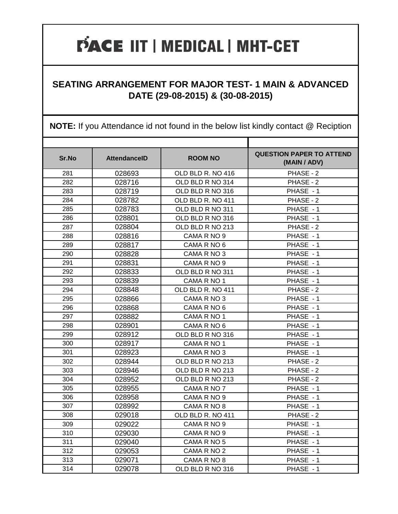#### **SEATING ARRANGEMENT FOR MAJOR TEST- 1 MAIN & ADVANCED DATE (29-08-2015) & (30-08-2015)**

| Sr.No | <b>AttendanceID</b> | <b>ROOM NO</b>    | <b>QUESTION PAPER TO ATTEND</b><br>(MAIN / ADV) |
|-------|---------------------|-------------------|-------------------------------------------------|
| 281   | 028693              | OLD BLD R. NO 416 | PHASE - 2                                       |
| 282   | 028716              | OLD BLD R NO 314  | PHASE - 2                                       |
| 283   | 028719              | OLD BLD R NO 316  | PHASE - 1                                       |
| 284   | 028782              | OLD BLD R. NO 411 | PHASE - 2                                       |
| 285   | 028783              | OLD BLD R NO 311  | PHASE - 1                                       |
| 286   | 028801              | OLD BLD R NO 316  | PHASE - 1                                       |
| 287   | 028804              | OLD BLD R NO 213  | PHASE - 2                                       |
| 288   | 028816              | CAMA R NO 9       | PHASE - 1                                       |
| 289   | 028817              | CAMA R NO 6       | PHASE - 1                                       |
| 290   | 028828              | CAMA R NO 3       | PHASE - 1                                       |
| 291   | 028831              | CAMA R NO 9       | PHASE - 1                                       |
| 292   | 028833              | OLD BLD R NO 311  | PHASE - 1                                       |
| 293   | 028839              | CAMA R NO 1       | PHASE - 1                                       |
| 294   | 028848              | OLD BLD R. NO 411 | PHASE - 2                                       |
| 295   | 028866              | CAMA R NO 3       | PHASE - 1                                       |
| 296   | 028868              | CAMA R NO 6       | PHASE - 1                                       |
| 297   | 028882              | CAMA R NO 1       | PHASE - 1                                       |
| 298   | 028901              | CAMA R NO 6       | PHASE - 1                                       |
| 299   | 028912              | OLD BLD R NO 316  | PHASE - 1                                       |
| 300   | 028917              | CAMA R NO 1       | PHASE - 1                                       |
| 301   | 028923              | CAMA R NO 3       | PHASE - 1                                       |
| 302   | 028944              | OLD BLD R NO 213  | PHASE - 2                                       |
| 303   | 028946              | OLD BLD R NO 213  | PHASE - 2                                       |
| 304   | 028952              | OLD BLD R NO 213  | PHASE - 2                                       |
| 305   | 028955              | CAMA R NO 7       | PHASE - 1                                       |
| 306   | 028958              | CAMA R NO 9       | PHASE - 1                                       |
| 307   | 028992              | CAMA R NO 8       | PHASE - 1                                       |
| 308   | 029018              | OLD BLD R. NO 411 | PHASE - 2                                       |
| 309   | 029022              | CAMA R NO 9       | PHASE - 1                                       |
| 310   | 029030              | CAMA R NO 9       | PHASE - 1                                       |
| 311   | 029040              | CAMA R NO 5       | PHASE - 1                                       |
| 312   | 029053              | CAMA R NO 2       | PHASE - 1                                       |
| 313   | 029071              | CAMA R NO 8       | PHASE - 1                                       |
| 314   | 029078              | OLD BLD R NO 316  | PHASE - 1                                       |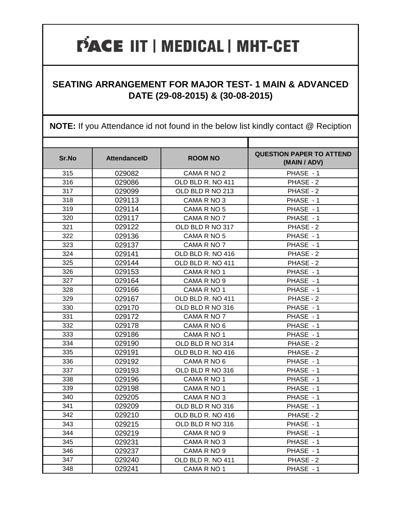#### **SEATING ARRANGEMENT FOR MAJOR TEST- 1 MAIN & ADVANCED DATE (29-08-2015) & (30-08-2015)**

| Sr.No | <b>AttendanceID</b> | <b>ROOM NO</b>    | <b>QUESTION PAPER TO ATTEND</b><br>(MAIN / ADV) |
|-------|---------------------|-------------------|-------------------------------------------------|
| 315   | 029082              | CAMA R NO 2       | PHASE - 1                                       |
| 316   | 029086              | OLD BLD R. NO 411 | PHASE - 2                                       |
| 317   | 029099              | OLD BLD R NO 213  | PHASE - 2                                       |
| 318   | 029113              | CAMA R NO 3       | PHASE - 1                                       |
| 319   | 029114              | CAMA R NO 5       | PHASE - 1                                       |
| 320   | 029117              | CAMA R NO 7       | PHASE - 1                                       |
| 321   | 029122              | OLD BLD R NO 317  | PHASE - 2                                       |
| 322   | 029136              | CAMA R NO 5       | PHASE - 1                                       |
| 323   | 029137              | CAMA R NO 7       | PHASE - 1                                       |
| 324   | 029141              | OLD BLD R. NO 416 | PHASE - 2                                       |
| 325   | 029144              | OLD BLD R. NO 411 | PHASE - 2                                       |
| 326   | 029153              | CAMA R NO 1       | PHASE - 1                                       |
| 327   | 029164              | CAMA R NO 9       | PHASE - 1                                       |
| 328   | 029166              | CAMA R NO 1       | PHASE - 1                                       |
| 329   | 029167              | OLD BLD R. NO 411 | PHASE - 2                                       |
| 330   | 029170              | OLD BLD R NO 316  | PHASE - 1                                       |
| 331   | 029172              | CAMA R NO 7       | PHASE - 1                                       |
| 332   | 029178              | CAMA R NO 6       | PHASE - 1                                       |
| 333   | 029186              | CAMA R NO 1       | PHASE - 1                                       |
| 334   | 029190              | OLD BLD R NO 314  | PHASE - 2                                       |
| 335   | 029191              | OLD BLD R. NO 416 | PHASE - 2                                       |
| 336   | 029192              | CAMA R NO 6       | PHASE - 1                                       |
| 337   | 029193              | OLD BLD R NO 316  | PHASE - 1                                       |
| 338   | 029196              | CAMA R NO 1       | PHASE - 1                                       |
| 339   | 029198              | CAMA R NO 1       | PHASE - 1                                       |
| 340   | 029205              | CAMA R NO 3       | PHASE - 1                                       |
| 341   | 029209              | OLD BLD R NO 316  | PHASE - 1                                       |
| 342   | 029210              | OLD BLD R. NO 416 | PHASE - 2                                       |
| 343   | 029215              | OLD BLD R NO 316  | PHASE - 1                                       |
| 344   | 029219              | CAMA R NO 9       | PHASE - 1                                       |
| 345   | 029231              | CAMA R NO 3       | PHASE - 1                                       |
| 346   | 029237              | CAMA R NO 9       | PHASE - 1                                       |
| 347   | 029240              | OLD BLD R. NO 411 | PHASE - 2                                       |
| 348   | 029241              | CAMA R NO 1       | PHASE - 1                                       |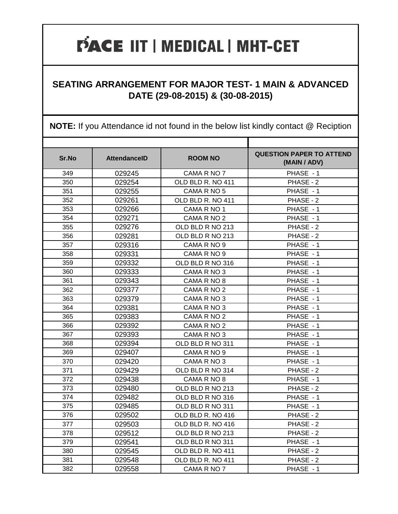#### **SEATING ARRANGEMENT FOR MAJOR TEST- 1 MAIN & ADVANCED DATE (29-08-2015) & (30-08-2015)**

| Sr.No | <b>AttendanceID</b> | <b>ROOM NO</b>    | <b>QUESTION PAPER TO ATTEND</b><br>(MAIN / ADV) |
|-------|---------------------|-------------------|-------------------------------------------------|
| 349   | 029245              | CAMA R NO 7       | PHASE - 1                                       |
| 350   | 029254              | OLD BLD R. NO 411 | PHASE - 2                                       |
| 351   | 029255              | CAMA R NO 5       | PHASE - 1                                       |
| 352   | 029261              | OLD BLD R. NO 411 | PHASE - 2                                       |
| 353   | 029266              | CAMA R NO 1       | PHASE - 1                                       |
| 354   | 029271              | CAMA R NO 2       | PHASE - 1                                       |
| 355   | 029276              | OLD BLD R NO 213  | PHASE - 2                                       |
| 356   | 029281              | OLD BLD R NO 213  | PHASE - 2                                       |
| 357   | 029316              | CAMA R NO 9       | PHASE - 1                                       |
| 358   | 029331              | CAMA R NO 9       | PHASE - 1                                       |
| 359   | 029332              | OLD BLD R NO 316  | PHASE - 1                                       |
| 360   | 029333              | CAMA R NO 3       | PHASE - 1                                       |
| 361   | 029343              | CAMA R NO 8       | PHASE - 1                                       |
| 362   | 029377              | CAMA R NO 2       | PHASE - 1                                       |
| 363   | 029379              | CAMA R NO 3       | PHASE - 1                                       |
| 364   | 029381              | CAMA R NO 3       | PHASE - 1                                       |
| 365   | 029383              | CAMA R NO 2       | PHASE - 1                                       |
| 366   | 029392              | CAMA R NO 2       | PHASE - 1                                       |
| 367   | 029393              | CAMA R NO 3       | PHASE - 1                                       |
| 368   | 029394              | OLD BLD R NO 311  | PHASE - 1                                       |
| 369   | 029407              | CAMA R NO 9       | PHASE - 1                                       |
| 370   | 029420              | CAMA R NO 3       | PHASE - 1                                       |
| 371   | 029429              | OLD BLD R NO 314  | PHASE - 2                                       |
| 372   | 029438              | CAMA R NO 8       | PHASE - 1                                       |
| 373   | 029480              | OLD BLD R NO 213  | PHASE - 2                                       |
| 374   | 029482              | OLD BLD R NO 316  | PHASE - 1                                       |
| 375   | 029485              | OLD BLD R NO 311  | PHASE - 1                                       |
| 376   | 029502              | OLD BLD R. NO 416 | PHASE - 2                                       |
| 377   | 029503              | OLD BLD R. NO 416 | PHASE - 2                                       |
| 378   | 029512              | OLD BLD R NO 213  | PHASE - 2                                       |
| 379   | 029541              | OLD BLD R NO 311  | PHASE - 1                                       |
| 380   | 029545              | OLD BLD R. NO 411 | PHASE - 2                                       |
| 381   | 029548              | OLD BLD R. NO 411 | PHASE - 2                                       |
| 382   | 029558              | CAMA R NO 7       | PHASE - 1                                       |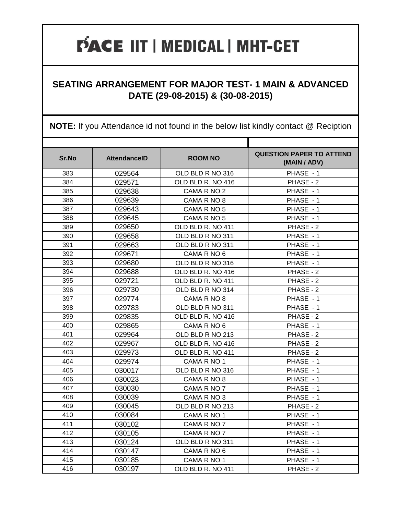#### **SEATING ARRANGEMENT FOR MAJOR TEST- 1 MAIN & ADVANCED DATE (29-08-2015) & (30-08-2015)**

| Sr.No | <b>AttendanceID</b> | <b>ROOM NO</b>    | <b>QUESTION PAPER TO ATTEND</b><br>(MAIN / ADV) |
|-------|---------------------|-------------------|-------------------------------------------------|
| 383   | 029564              | OLD BLD R NO 316  | PHASE - 1                                       |
| 384   | 029571              | OLD BLD R. NO 416 | PHASE - 2                                       |
| 385   | 029638              | CAMA R NO 2       | PHASE - 1                                       |
| 386   | 029639              | CAMA R NO 8       | PHASE - 1                                       |
| 387   | 029643              | CAMA R NO 5       | PHASE - 1                                       |
| 388   | 029645              | CAMA R NO 5       | PHASE - 1                                       |
| 389   | 029650              | OLD BLD R. NO 411 | PHASE - 2                                       |
| 390   | 029658              | OLD BLD R NO 311  | PHASE - 1                                       |
| 391   | 029663              | OLD BLD R NO 311  | PHASE - 1                                       |
| 392   | 029671              | CAMA R NO 6       | PHASE - 1                                       |
| 393   | 029680              | OLD BLD R NO 316  | PHASE - 1                                       |
| 394   | 029688              | OLD BLD R. NO 416 | PHASE - 2                                       |
| 395   | 029721              | OLD BLD R. NO 411 | PHASE - 2                                       |
| 396   | 029730              | OLD BLD R NO 314  | PHASE - 2                                       |
| 397   | 029774              | CAMA R NO 8       | PHASE - 1                                       |
| 398   | 029783              | OLD BLD R NO 311  | PHASE - 1                                       |
| 399   | 029835              | OLD BLD R. NO 416 | PHASE - 2                                       |
| 400   | 029865              | CAMA R NO 6       | PHASE - 1                                       |
| 401   | 029964              | OLD BLD R NO 213  | PHASE - 2                                       |
| 402   | 029967              | OLD BLD R. NO 416 | PHASE - 2                                       |
| 403   | 029973              | OLD BLD R. NO 411 | PHASE - 2                                       |
| 404   | 029974              | CAMA R NO 1       | PHASE - 1                                       |
| 405   | 030017              | OLD BLD R NO 316  | PHASE - 1                                       |
| 406   | 030023              | CAMA R NO 8       | PHASE - 1                                       |
| 407   | 030030              | CAMA R NO 7       | PHASE - 1                                       |
| 408   | 030039              | CAMA R NO 3       | PHASE - 1                                       |
| 409   | 030045              | OLD BLD R NO 213  | PHASE - 2                                       |
| 410   | 030084              | CAMA R NO 1       | PHASE - 1                                       |
| 411   | 030102              | CAMA R NO 7       | PHASE - 1                                       |
| 412   | 030105              | CAMA R NO 7       | PHASE - 1                                       |
| 413   | 030124              | OLD BLD R NO 311  | PHASE - 1                                       |
| 414   | 030147              | CAMA R NO 6       | PHASE - 1                                       |
| 415   | 030185              | CAMA R NO 1       | PHASE - 1                                       |
| 416   | 030197              | OLD BLD R. NO 411 | PHASE - 2                                       |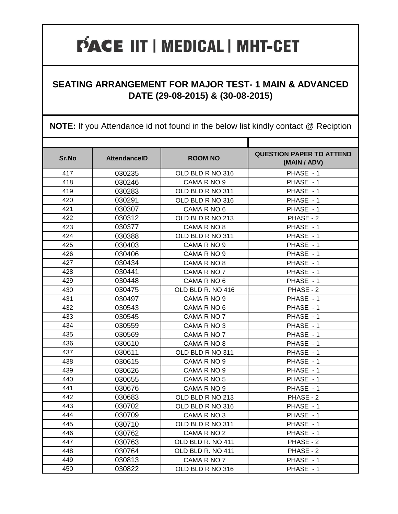#### **SEATING ARRANGEMENT FOR MAJOR TEST- 1 MAIN & ADVANCED DATE (29-08-2015) & (30-08-2015)**

| Sr.No | <b>AttendanceID</b> | <b>ROOM NO</b>    | <b>QUESTION PAPER TO ATTEND</b><br>(MAIN / ADV) |
|-------|---------------------|-------------------|-------------------------------------------------|
| 417   | 030235              | OLD BLD R NO 316  | PHASE - 1                                       |
| 418   | 030246              | CAMA R NO 9       | PHASE - 1                                       |
| 419   | 030283              | OLD BLD R NO 311  | PHASE - 1                                       |
| 420   | 030291              | OLD BLD R NO 316  | PHASE - 1                                       |
| 421   | 030307              | CAMA R NO 6       | PHASE - 1                                       |
| 422   | 030312              | OLD BLD R NO 213  | PHASE - 2                                       |
| 423   | 030377              | CAMA R NO 8       | PHASE - 1                                       |
| 424   | 030388              | OLD BLD R NO 311  | PHASE - 1                                       |
| 425   | 030403              | CAMA R NO 9       | PHASE - 1                                       |
| 426   | 030406              | CAMA R NO 9       | PHASE - 1                                       |
| 427   | 030434              | CAMA R NO 8       | PHASE - 1                                       |
| 428   | 030441              | CAMA R NO 7       | PHASE - 1                                       |
| 429   | 030448              | CAMA R NO 6       | PHASE - 1                                       |
| 430   | 030475              | OLD BLD R. NO 416 | PHASE - 2                                       |
| 431   | 030497              | CAMA R NO 9       | PHASE - 1                                       |
| 432   | 030543              | CAMA R NO 6       | PHASE - 1                                       |
| 433   | 030545              | CAMA R NO 7       | PHASE - 1                                       |
| 434   | 030559              | CAMA R NO 3       | PHASE - 1                                       |
| 435   | 030569              | CAMA R NO 7       | PHASE - 1                                       |
| 436   | 030610              | CAMA R NO 8       | PHASE - 1                                       |
| 437   | 030611              | OLD BLD R NO 311  | PHASE - 1                                       |
| 438   | 030615              | CAMA R NO 9       | PHASE - 1                                       |
| 439   | 030626              | CAMA R NO 9       | PHASE - 1                                       |
| 440   | 030655              | CAMA R NO 5       | PHASE - 1                                       |
| 441   | 030676              | CAMA R NO 9       | PHASE - 1                                       |
| 442   | 030683              | OLD BLD R NO 213  | PHASE - 2                                       |
| 443   | 030702              | OLD BLD R NO 316  | PHASE - 1                                       |
| 444   | 030709              | CAMA R NO 3       | PHASE - 1                                       |
| 445   | 030710              | OLD BLD R NO 311  | PHASE - 1                                       |
| 446   | 030762              | CAMA R NO 2       | PHASE - 1                                       |
| 447   | 030763              | OLD BLD R. NO 411 | PHASE - 2                                       |
| 448   | 030764              | OLD BLD R. NO 411 | PHASE - 2                                       |
| 449   | 030813              | CAMA R NO 7       | PHASE - 1                                       |
| 450   | 030822              | OLD BLD R NO 316  | PHASE - 1                                       |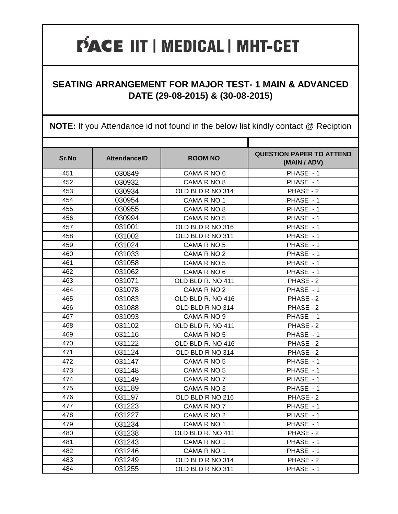#### **SEATING ARRANGEMENT FOR MAJOR TEST- 1 MAIN & ADVANCED DATE (29-08-2015) & (30-08-2015)**

| Sr.No | <b>AttendanceID</b> | <b>ROOM NO</b>    | <b>QUESTION PAPER TO ATTEND</b><br>(MAIN / ADV) |
|-------|---------------------|-------------------|-------------------------------------------------|
| 451   | 030849              | CAMA R NO 6       | PHASE - 1                                       |
| 452   | 030932              | CAMA R NO 8       | PHASE - 1                                       |
| 453   | 030934              | OLD BLD R NO 314  | PHASE - 2                                       |
| 454   | 030954              | CAMA R NO 1       | PHASE - 1                                       |
| 455   | 030955              | CAMA R NO 8       | PHASE - 1                                       |
| 456   | 030994              | CAMA R NO 5       | PHASE - 1                                       |
| 457   | 031001              | OLD BLD R NO 316  | PHASE - 1                                       |
| 458   | 031002              | OLD BLD R NO 311  | PHASE - 1                                       |
| 459   | 031024              | CAMA R NO 5       | PHASE - 1                                       |
| 460   | 031033              | CAMA R NO 2       | PHASE - 1                                       |
| 461   | 031058              | CAMA R NO 5       | PHASE - 1                                       |
| 462   | 031062              | CAMA R NO 6       | PHASE - 1                                       |
| 463   | 031071              | OLD BLD R. NO 411 | PHASE - 2                                       |
| 464   | 031078              | CAMA R NO 2       | PHASE - 1                                       |
| 465   | 031083              | OLD BLD R. NO 416 | PHASE - 2                                       |
| 466   | 031088              | OLD BLD R NO 314  | PHASE - 2                                       |
| 467   | 031093              | CAMA R NO 9       | PHASE - 1                                       |
| 468   | 031102              | OLD BLD R. NO 411 | PHASE - 2                                       |
| 469   | 031116              | CAMA R NO 5       | PHASE - 1                                       |
| 470   | 031122              | OLD BLD R. NO 416 | PHASE - 2                                       |
| 471   | 031124              | OLD BLD R NO 314  | PHASE - 2                                       |
| 472   | 031147              | CAMA R NO 5       | PHASE - 1                                       |
| 473   | 031148              | CAMA R NO 5       | PHASE - 1                                       |
| 474   | 031149              | CAMA R NO 7       | PHASE - 1                                       |
| 475   | 031189              | CAMA R NO 3       | PHASE - 1                                       |
| 476   | 031197              | OLD BLD R NO 216  | PHASE - 2                                       |
| 477   | 031223              | CAMA R NO 7       | PHASE - 1                                       |
| 478   | 031227              | CAMA R NO 2       | PHASE - 1                                       |
| 479   | 031234              | CAMA R NO 1       | PHASE - 1                                       |
| 480   | 031238              | OLD BLD R. NO 411 | PHASE - 2                                       |
| 481   | 031243              | CAMA R NO 1       | PHASE - 1                                       |
| 482   | 031246              | CAMA R NO 1       | PHASE - 1                                       |
| 483   | 031249              | OLD BLD R NO 314  | PHASE - 2                                       |
| 484   | 031255              | OLD BLD R NO 311  | PHASE - 1                                       |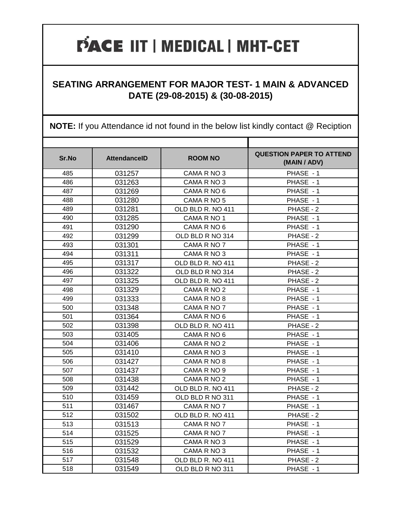#### **SEATING ARRANGEMENT FOR MAJOR TEST- 1 MAIN & ADVANCED DATE (29-08-2015) & (30-08-2015)**

| Sr.No | <b>AttendanceID</b> | <b>ROOM NO</b>    | <b>QUESTION PAPER TO ATTEND</b><br>(MAIN / ADV) |
|-------|---------------------|-------------------|-------------------------------------------------|
| 485   | 031257              | CAMA R NO 3       | PHASE - 1                                       |
| 486   | 031263              | CAMA R NO 3       | PHASE - 1                                       |
| 487   | 031269              | CAMA R NO 6       | PHASE - 1                                       |
| 488   | 031280              | CAMA R NO 5       | PHASE - 1                                       |
| 489   | 031281              | OLD BLD R. NO 411 | PHASE - 2                                       |
| 490   | 031285              | CAMA R NO 1       | PHASE - 1                                       |
| 491   | 031290              | CAMA R NO 6       | PHASE - 1                                       |
| 492   | 031299              | OLD BLD R NO 314  | PHASE - 2                                       |
| 493   | 031301              | CAMA R NO 7       | PHASE - 1                                       |
| 494   | 031311              | CAMA R NO 3       | PHASE - 1                                       |
| 495   | 031317              | OLD BLD R. NO 411 | PHASE - 2                                       |
| 496   | 031322              | OLD BLD R NO 314  | PHASE - 2                                       |
| 497   | 031325              | OLD BLD R. NO 411 | PHASE - 2                                       |
| 498   | 031329              | CAMA R NO 2       | PHASE - 1                                       |
| 499   | 031333              | CAMA R NO 8       | PHASE - 1                                       |
| 500   | 031348              | CAMA R NO 7       | PHASE - 1                                       |
| 501   | 031364              | CAMA R NO 6       | PHASE - 1                                       |
| 502   | 031398              | OLD BLD R. NO 411 | PHASE - 2                                       |
| 503   | 031405              | CAMA R NO 6       | PHASE - 1                                       |
| 504   | 031406              | CAMA R NO 2       | PHASE - 1                                       |
| 505   | 031410              | CAMA R NO 3       | PHASE - 1                                       |
| 506   | 031427              | CAMA R NO 8       | PHASE - 1                                       |
| 507   | 031437              | CAMA R NO 9       | PHASE - 1                                       |
| 508   | 031438              | CAMA R NO 2       | PHASE - 1                                       |
| 509   | 031442              | OLD BLD R. NO 411 | PHASE - 2                                       |
| 510   | 031459              | OLD BLD R NO 311  | PHASE - 1                                       |
| 511   | 031467              | CAMA R NO 7       | PHASE - 1                                       |
| 512   | 031502              | OLD BLD R. NO 411 | PHASE - 2                                       |
| 513   | 031513              | CAMA R NO 7       | PHASE - 1                                       |
| 514   | 031525              | CAMA R NO 7       | PHASE - 1                                       |
| 515   | 031529              | CAMA R NO 3       | PHASE - 1                                       |
| 516   | 031532              | CAMA R NO 3       | PHASE - 1                                       |
| 517   | 031548              | OLD BLD R. NO 411 | PHASE - 2                                       |
| 518   | 031549              | OLD BLD R NO 311  | PHASE - 1                                       |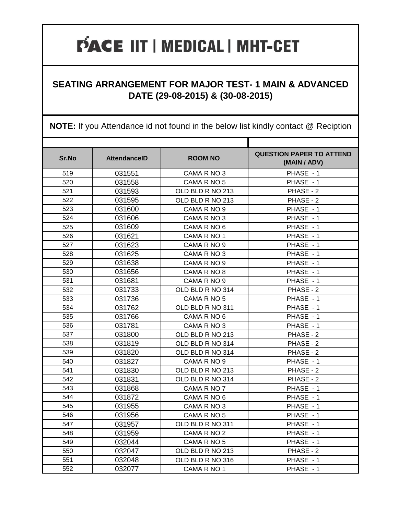#### **SEATING ARRANGEMENT FOR MAJOR TEST- 1 MAIN & ADVANCED DATE (29-08-2015) & (30-08-2015)**

| Sr.No | <b>AttendanceID</b> | <b>ROOM NO</b>   | <b>QUESTION PAPER TO ATTEND</b><br>(MAIN / ADV) |
|-------|---------------------|------------------|-------------------------------------------------|
| 519   | 031551              | CAMA R NO 3      | PHASE - 1                                       |
| 520   | 031558              | CAMA R NO 5      | PHASE - 1                                       |
| 521   | 031593              | OLD BLD R NO 213 | PHASE - 2                                       |
| 522   | 031595              | OLD BLD R NO 213 | PHASE - 2                                       |
| 523   | 031600              | CAMA R NO 9      | PHASE - 1                                       |
| 524   | 031606              | CAMA R NO 3      | PHASE - 1                                       |
| 525   | 031609              | CAMA R NO 6      | PHASE - 1                                       |
| 526   | 031621              | CAMA R NO 1      | PHASE - 1                                       |
| 527   | 031623              | CAMA R NO 9      | PHASE - 1                                       |
| 528   | 031625              | CAMA R NO 3      | PHASE - 1                                       |
| 529   | 031638              | CAMA R NO 9      | PHASE - 1                                       |
| 530   | 031656              | CAMA R NO 8      | PHASE - 1                                       |
| 531   | 031681              | CAMA R NO 9      | PHASE - 1                                       |
| 532   | 031733              | OLD BLD R NO 314 | PHASE - 2                                       |
| 533   | 031736              | CAMA R NO 5      | PHASE - 1                                       |
| 534   | 031762              | OLD BLD R NO 311 | PHASE - 1                                       |
| 535   | 031766              | CAMA R NO 6      | PHASE - 1                                       |
| 536   | 031781              | CAMA R NO 3      | PHASE - 1                                       |
| 537   | 031800              | OLD BLD R NO 213 | PHASE - 2                                       |
| 538   | 031819              | OLD BLD R NO 314 | PHASE - 2                                       |
| 539   | 031820              | OLD BLD R NO 314 | PHASE - 2                                       |
| 540   | 031827              | CAMA R NO 9      | PHASE - 1                                       |
| 541   | 031830              | OLD BLD R NO 213 | PHASE - 2                                       |
| 542   | 031831              | OLD BLD R NO 314 | PHASE - 2                                       |
| 543   | 031868              | CAMA R NO 7      | PHASE - 1                                       |
| 544   | 031872              | CAMA R NO 6      | PHASE - 1                                       |
| 545   | 031955              | CAMA R NO 3      | PHASE - 1                                       |
| 546   | 031956              | CAMA R NO 5      | PHASE - 1                                       |
| 547   | 031957              | OLD BLD R NO 311 | PHASE - 1                                       |
| 548   | 031959              | CAMA R NO 2      | PHASE - 1                                       |
| 549   | 032044              | CAMA R NO 5      | PHASE - 1                                       |
| 550   | 032047              | OLD BLD R NO 213 | PHASE - 2                                       |
| 551   | 032048              | OLD BLD R NO 316 | PHASE - 1                                       |
| 552   | 032077              | CAMA R NO 1      | PHASE - 1                                       |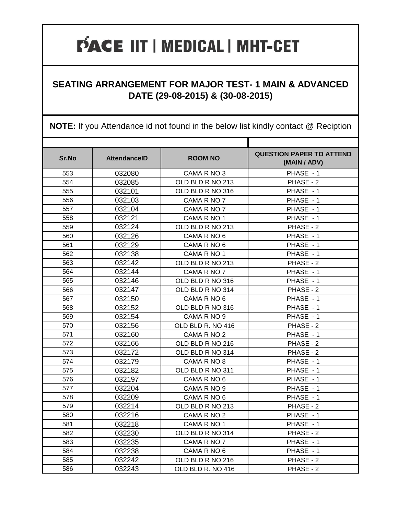#### **SEATING ARRANGEMENT FOR MAJOR TEST- 1 MAIN & ADVANCED DATE (29-08-2015) & (30-08-2015)**

| Sr.No | <b>AttendanceID</b> | <b>ROOM NO</b>    | <b>QUESTION PAPER TO ATTEND</b><br>(MAIN / ADV) |
|-------|---------------------|-------------------|-------------------------------------------------|
| 553   | 032080              | CAMA R NO 3       | PHASE - 1                                       |
| 554   | 032085              | OLD BLD R NO 213  | PHASE - 2                                       |
| 555   | 032101              | OLD BLD R NO 316  | PHASE - 1                                       |
| 556   | 032103              | CAMA R NO 7       | PHASE - 1                                       |
| 557   | 032104              | CAMA R NO 7       | PHASE - 1                                       |
| 558   | 032121              | CAMA R NO 1       | PHASE - 1                                       |
| 559   | 032124              | OLD BLD R NO 213  | PHASE - 2                                       |
| 560   | 032126              | CAMA R NO 6       | PHASE - 1                                       |
| 561   | 032129              | CAMA R NO 6       | PHASE - 1                                       |
| 562   | 032138              | CAMA R NO 1       | PHASE - 1                                       |
| 563   | 032142              | OLD BLD R NO 213  | PHASE - 2                                       |
| 564   | 032144              | CAMA R NO 7       | PHASE - 1                                       |
| 565   | 032146              | OLD BLD R NO 316  | PHASE - 1                                       |
| 566   | 032147              | OLD BLD R NO 314  | PHASE - 2                                       |
| 567   | 032150              | CAMA R NO 6       | PHASE - 1                                       |
| 568   | 032152              | OLD BLD R NO 316  | PHASE - 1                                       |
| 569   | 032154              | CAMA R NO 9       | PHASE - 1                                       |
| 570   | 032156              | OLD BLD R. NO 416 | PHASE - 2                                       |
| 571   | 032160              | CAMA R NO 2       | PHASE - 1                                       |
| 572   | 032166              | OLD BLD R NO 216  | PHASE - 2                                       |
| 573   | 032172              | OLD BLD R NO 314  | PHASE - 2                                       |
| 574   | 032179              | CAMA R NO 8       | PHASE - 1                                       |
| 575   | 032182              | OLD BLD R NO 311  | PHASE - 1                                       |
| 576   | 032197              | CAMA R NO 6       | PHASE - 1                                       |
| 577   | 032204              | CAMA R NO 9       | PHASE - 1                                       |
| 578   | 032209              | CAMA R NO 6       | PHASE - 1                                       |
| 579   | 032214              | OLD BLD R NO 213  | PHASE - 2                                       |
| 580   | 032216              | CAMA R NO 2       | PHASE - 1                                       |
| 581   | 032218              | CAMA R NO 1       | PHASE - 1                                       |
| 582   | 032230              | OLD BLD R NO 314  | PHASE - 2                                       |
| 583   | 032235              | CAMA R NO 7       | PHASE - 1                                       |
| 584   | 032238              | CAMA R NO 6       | PHASE - 1                                       |
| 585   | 032242              | OLD BLD R NO 216  | PHASE - 2                                       |
| 586   | 032243              | OLD BLD R. NO 416 | PHASE - 2                                       |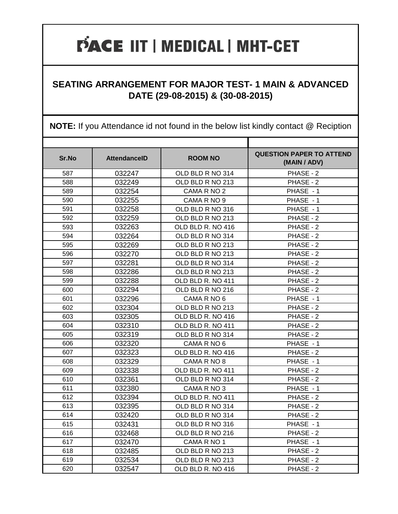#### **SEATING ARRANGEMENT FOR MAJOR TEST- 1 MAIN & ADVANCED DATE (29-08-2015) & (30-08-2015)**

| Sr.No | <b>AttendanceID</b> | <b>ROOM NO</b>    | <b>QUESTION PAPER TO ATTEND</b><br>(MAIN / ADV) |
|-------|---------------------|-------------------|-------------------------------------------------|
| 587   | 032247              | OLD BLD R NO 314  | PHASE - 2                                       |
| 588   | 032249              | OLD BLD R NO 213  | PHASE - 2                                       |
| 589   | 032254              | CAMA R NO 2       | PHASE - 1                                       |
| 590   | 032255              | CAMA R NO 9       | PHASE - 1                                       |
| 591   | 032258              | OLD BLD R NO 316  | PHASE - 1                                       |
| 592   | 032259              | OLD BLD R NO 213  | PHASE - 2                                       |
| 593   | 032263              | OLD BLD R. NO 416 | PHASE - 2                                       |
| 594   | 032264              | OLD BLD R NO 314  | PHASE - 2                                       |
| 595   | 032269              | OLD BLD R NO 213  | PHASE - 2                                       |
| 596   | 032270              | OLD BLD R NO 213  | PHASE - 2                                       |
| 597   | 032281              | OLD BLD R NO 314  | PHASE - 2                                       |
| 598   | 032286              | OLD BLD R NO 213  | PHASE - 2                                       |
| 599   | 032288              | OLD BLD R. NO 411 | PHASE - 2                                       |
| 600   | 032294              | OLD BLD R NO 216  | PHASE - 2                                       |
| 601   | 032296              | CAMA R NO 6       | PHASE - 1                                       |
| 602   | 032304              | OLD BLD R NO 213  | PHASE - 2                                       |
| 603   | 032305              | OLD BLD R. NO 416 | PHASE - 2                                       |
| 604   | 032310              | OLD BLD R. NO 411 | PHASE - 2                                       |
| 605   | 032319              | OLD BLD R NO 314  | PHASE - 2                                       |
| 606   | 032320              | CAMA R NO 6       | PHASE - 1                                       |
| 607   | 032323              | OLD BLD R. NO 416 | PHASE - 2                                       |
| 608   | 032329              | CAMA R NO 8       | PHASE - 1                                       |
| 609   | 032338              | OLD BLD R. NO 411 | PHASE - 2                                       |
| 610   | 032361              | OLD BLD R NO 314  | PHASE - 2                                       |
| 611   | 032380              | CAMA R NO 3       | PHASE - 1                                       |
| 612   | 032394              | OLD BLD R. NO 411 | PHASE - 2                                       |
| 613   | 032395              | OLD BLD R NO 314  | PHASE - 2                                       |
| 614   | 032420              | OLD BLD R NO 314  | PHASE - 2                                       |
| 615   | 032431              | OLD BLD R NO 316  | PHASE - 1                                       |
| 616   | 032468              | OLD BLD R NO 216  | PHASE - 2                                       |
| 617   | 032470              | CAMA R NO 1       | PHASE - 1                                       |
| 618   | 032485              | OLD BLD R NO 213  | PHASE - 2                                       |
| 619   | 032534              | OLD BLD R NO 213  | PHASE - 2                                       |
| 620   | 032547              | OLD BLD R. NO 416 | PHASE - 2                                       |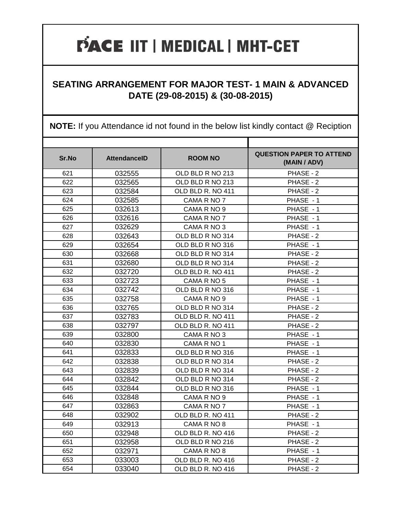#### **SEATING ARRANGEMENT FOR MAJOR TEST- 1 MAIN & ADVANCED DATE (29-08-2015) & (30-08-2015)**

| Sr.No | <b>AttendanceID</b> | <b>ROOM NO</b>    | <b>QUESTION PAPER TO ATTEND</b><br>(MAIN / ADV) |
|-------|---------------------|-------------------|-------------------------------------------------|
| 621   | 032555              | OLD BLD R NO 213  | PHASE - 2                                       |
| 622   | 032565              | OLD BLD R NO 213  | PHASE - 2                                       |
| 623   | 032584              | OLD BLD R. NO 411 | PHASE - 2                                       |
| 624   | 032585              | CAMA R NO 7       | PHASE - 1                                       |
| 625   | 032613              | CAMA R NO 9       | PHASE - 1                                       |
| 626   | 032616              | CAMA R NO 7       | PHASE - 1                                       |
| 627   | 032629              | CAMA R NO 3       | PHASE - 1                                       |
| 628   | 032643              | OLD BLD R NO 314  | PHASE - 2                                       |
| 629   | 032654              | OLD BLD R NO 316  | PHASE - 1                                       |
| 630   | 032668              | OLD BLD R NO 314  | PHASE - 2                                       |
| 631   | 032680              | OLD BLD R NO 314  | PHASE - 2                                       |
| 632   | 032720              | OLD BLD R. NO 411 | PHASE - 2                                       |
| 633   | 032723              | CAMA R NO 5       | PHASE - 1                                       |
| 634   | 032742              | OLD BLD R NO 316  | PHASE - 1                                       |
| 635   | 032758              | CAMA R NO 9       | PHASE - 1                                       |
| 636   | 032765              | OLD BLD R NO 314  | PHASE - 2                                       |
| 637   | 032783              | OLD BLD R. NO 411 | PHASE - 2                                       |
| 638   | 032797              | OLD BLD R. NO 411 | PHASE - 2                                       |
| 639   | 032800              | CAMA R NO 3       | PHASE - 1                                       |
| 640   | 032830              | CAMA R NO 1       | PHASE - 1                                       |
| 641   | 032833              | OLD BLD R NO 316  | PHASE - 1                                       |
| 642   | 032838              | OLD BLD R NO 314  | PHASE - 2                                       |
| 643   | 032839              | OLD BLD R NO 314  | PHASE - 2                                       |
| 644   | 032842              | OLD BLD R NO 314  | PHASE - 2                                       |
| 645   | 032844              | OLD BLD R NO 316  | PHASE - 1                                       |
| 646   | 032848              | CAMA R NO 9       | PHASE - 1                                       |
| 647   | 032863              | CAMA R NO 7       | PHASE - 1                                       |
| 648   | 032902              | OLD BLD R. NO 411 | PHASE - 2                                       |
| 649   | 032913              | CAMA R NO 8       | PHASE - 1                                       |
| 650   | 032948              | OLD BLD R. NO 416 | PHASE - 2                                       |
| 651   | 032958              | OLD BLD R NO 216  | PHASE - 2                                       |
| 652   | 032971              | CAMA R NO 8       | PHASE - 1                                       |
| 653   | 033003              | OLD BLD R. NO 416 | PHASE - 2                                       |
| 654   | 033040              | OLD BLD R. NO 416 | PHASE - 2                                       |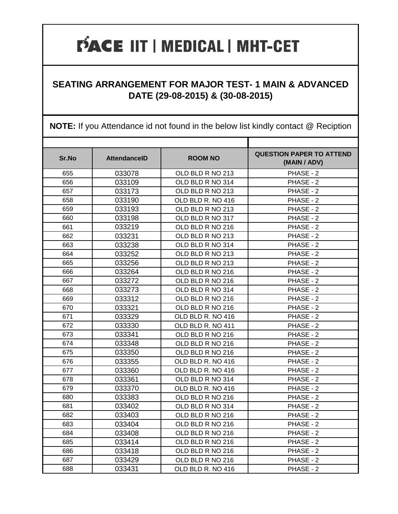#### **SEATING ARRANGEMENT FOR MAJOR TEST- 1 MAIN & ADVANCED DATE (29-08-2015) & (30-08-2015)**

| Sr.No | <b>AttendanceID</b> | <b>ROOM NO</b>    | <b>QUESTION PAPER TO ATTEND</b><br>(MAIN / ADV) |
|-------|---------------------|-------------------|-------------------------------------------------|
| 655   | 033078              | OLD BLD R NO 213  | PHASE - 2                                       |
| 656   | 033109              | OLD BLD R NO 314  | PHASE - 2                                       |
| 657   | 033173              | OLD BLD R NO 213  | PHASE - 2                                       |
| 658   | 033190              | OLD BLD R. NO 416 | PHASE - 2                                       |
| 659   | 033193              | OLD BLD R NO 213  | PHASE - 2                                       |
| 660   | 033198              | OLD BLD R NO 317  | PHASE - 2                                       |
| 661   | 033219              | OLD BLD R NO 216  | PHASE - 2                                       |
| 662   | 033231              | OLD BLD R NO 213  | PHASE - 2                                       |
| 663   | 033238              | OLD BLD R NO 314  | PHASE - 2                                       |
| 664   | 033252              | OLD BLD R NO 213  | PHASE - 2                                       |
| 665   | 033256              | OLD BLD R NO 213  | PHASE - 2                                       |
| 666   | 033264              | OLD BLD R NO 216  | PHASE - 2                                       |
| 667   | 033272              | OLD BLD R NO 216  | PHASE - 2                                       |
| 668   | 033273              | OLD BLD R NO 314  | PHASE - 2                                       |
| 669   | 033312              | OLD BLD R NO 216  | PHASE - 2                                       |
| 670   | 033321              | OLD BLD R NO 216  | PHASE - 2                                       |
| 671   | 033329              | OLD BLD R. NO 416 | PHASE - 2                                       |
| 672   | 033330              | OLD BLD R. NO 411 | PHASE - 2                                       |
| 673   | 033341              | OLD BLD R NO 216  | PHASE - 2                                       |
| 674   | 033348              | OLD BLD R NO 216  | PHASE - 2                                       |
| 675   | 033350              | OLD BLD R NO 216  | PHASE - 2                                       |
| 676   | 033355              | OLD BLD R. NO 416 | PHASE - 2                                       |
| 677   | 033360              | OLD BLD R. NO 416 | PHASE - 2                                       |
| 678   | 033361              | OLD BLD R NO 314  | PHASE - 2                                       |
| 679   | 033370              | OLD BLD R. NO 416 | PHASE - 2                                       |
| 680   | 033383              | OLD BLD R NO 216  | PHASE - 2                                       |
| 681   | 033402              | OLD BLD R NO 314  | PHASE - 2                                       |
| 682   | 033403              | OLD BLD R NO 216  | PHASE - 2                                       |
| 683   | 033404              | OLD BLD R NO 216  | PHASE - 2                                       |
| 684   | 033408              | OLD BLD R NO 216  | PHASE - 2                                       |
| 685   | 033414              | OLD BLD R NO 216  | PHASE - 2                                       |
| 686   | 033418              | OLD BLD R NO 216  | PHASE - 2                                       |
| 687   | 033429              | OLD BLD R NO 216  | PHASE - 2                                       |
| 688   | 033431              | OLD BLD R. NO 416 | PHASE - 2                                       |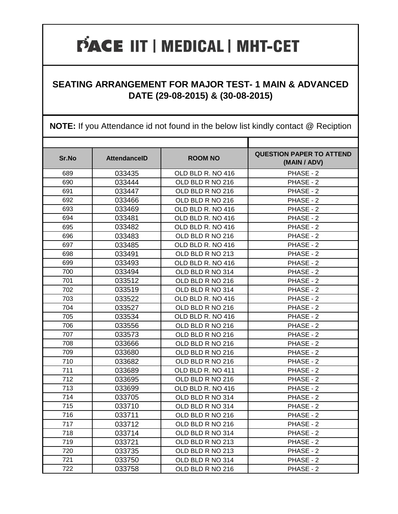#### **SEATING ARRANGEMENT FOR MAJOR TEST- 1 MAIN & ADVANCED DATE (29-08-2015) & (30-08-2015)**

| Sr.No | <b>AttendanceID</b> | <b>ROOM NO</b>    | <b>QUESTION PAPER TO ATTEND</b><br>(MAIN / ADV) |
|-------|---------------------|-------------------|-------------------------------------------------|
| 689   | 033435              | OLD BLD R. NO 416 | PHASE - 2                                       |
| 690   | 033444              | OLD BLD R NO 216  | PHASE - 2                                       |
| 691   | 033447              | OLD BLD R NO 216  | PHASE - 2                                       |
| 692   | 033466              | OLD BLD R NO 216  | PHASE - 2                                       |
| 693   | 033469              | OLD BLD R. NO 416 | PHASE - 2                                       |
| 694   | 033481              | OLD BLD R. NO 416 | PHASE - 2                                       |
| 695   | 033482              | OLD BLD R. NO 416 | PHASE - 2                                       |
| 696   | 033483              | OLD BLD R NO 216  | PHASE - 2                                       |
| 697   | 033485              | OLD BLD R. NO 416 | PHASE - 2                                       |
| 698   | 033491              | OLD BLD R NO 213  | PHASE - 2                                       |
| 699   | 033493              | OLD BLD R. NO 416 | PHASE - 2                                       |
| 700   | 033494              | OLD BLD R NO 314  | PHASE - 2                                       |
| 701   | 033512              | OLD BLD R NO 216  | PHASE - 2                                       |
| 702   | 033519              | OLD BLD R NO 314  | PHASE - 2                                       |
| 703   | 033522              | OLD BLD R. NO 416 | PHASE - 2                                       |
| 704   | 033527              | OLD BLD R NO 216  | PHASE - 2                                       |
| 705   | 033534              | OLD BLD R. NO 416 | PHASE - 2                                       |
| 706   | 033556              | OLD BLD R NO 216  | PHASE - 2                                       |
| 707   | 033573              | OLD BLD R NO 216  | PHASE - 2                                       |
| 708   | 033666              | OLD BLD R NO 216  | PHASE - 2                                       |
| 709   | 033680              | OLD BLD R NO 216  | PHASE - 2                                       |
| 710   | 033682              | OLD BLD R NO 216  | PHASE - 2                                       |
| 711   | 033689              | OLD BLD R. NO 411 | PHASE - 2                                       |
| 712   | 033695              | OLD BLD R NO 216  | PHASE - 2                                       |
| 713   | 033699              | OLD BLD R. NO 416 | PHASE - 2                                       |
| 714   | 033705              | OLD BLD R NO 314  | PHASE - 2                                       |
| 715   | 033710              | OLD BLD R NO 314  | PHASE - 2                                       |
| 716   | 033711              | OLD BLD R NO 216  | PHASE - 2                                       |
| 717   | 033712              | OLD BLD R NO 216  | PHASE - 2                                       |
| 718   | 033714              | OLD BLD R NO 314  | PHASE - 2                                       |
| 719   | 033721              | OLD BLD R NO 213  | PHASE - 2                                       |
| 720   | 033735              | OLD BLD R NO 213  | PHASE - 2                                       |
| 721   | 033750              | OLD BLD R NO 314  | PHASE - 2                                       |
| 722   | 033758              | OLD BLD R NO 216  | PHASE - 2                                       |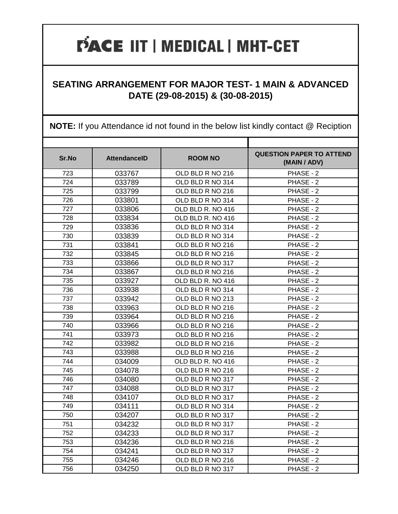#### **SEATING ARRANGEMENT FOR MAJOR TEST- 1 MAIN & ADVANCED DATE (29-08-2015) & (30-08-2015)**

| Sr.No | <b>AttendanceID</b> | <b>ROOM NO</b>    | <b>QUESTION PAPER TO ATTEND</b><br>(MAIN / ADV) |
|-------|---------------------|-------------------|-------------------------------------------------|
| 723   | 033767              | OLD BLD R NO 216  | PHASE - 2                                       |
| 724   | 033789              | OLD BLD R NO 314  | PHASE - 2                                       |
| 725   | 033799              | OLD BLD R NO 216  | PHASE - 2                                       |
| 726   | 033801              | OLD BLD R NO 314  | PHASE - 2                                       |
| 727   | 033806              | OLD BLD R. NO 416 | PHASE - 2                                       |
| 728   | 033834              | OLD BLD R. NO 416 | PHASE - 2                                       |
| 729   | 033836              | OLD BLD R NO 314  | PHASE - 2                                       |
| 730   | 033839              | OLD BLD R NO 314  | PHASE - 2                                       |
| 731   | 033841              | OLD BLD R NO 216  | PHASE - 2                                       |
| 732   | 033845              | OLD BLD R NO 216  | PHASE - 2                                       |
| 733   | 033866              | OLD BLD R NO 317  | PHASE - 2                                       |
| 734   | 033867              | OLD BLD R NO 216  | PHASE - 2                                       |
| 735   | 033927              | OLD BLD R. NO 416 | PHASE - 2                                       |
| 736   | 033938              | OLD BLD R NO 314  | PHASE - 2                                       |
| 737   | 033942              | OLD BLD R NO 213  | PHASE - 2                                       |
| 738   | 033963              | OLD BLD R NO 216  | PHASE - 2                                       |
| 739   | 033964              | OLD BLD R NO 216  | PHASE - 2                                       |
| 740   | 033966              | OLD BLD R NO 216  | PHASE - 2                                       |
| 741   | 033973              | OLD BLD R NO 216  | PHASE - 2                                       |
| 742   | 033982              | OLD BLD R NO 216  | PHASE - 2                                       |
| 743   | 033988              | OLD BLD R NO 216  | PHASE - 2                                       |
| 744   | 034009              | OLD BLD R. NO 416 | PHASE - 2                                       |
| 745   | 034078              | OLD BLD R NO 216  | PHASE - 2                                       |
| 746   | 034080              | OLD BLD R NO 317  | PHASE - 2                                       |
| 747   | 034088              | OLD BLD R NO 317  | PHASE - 2                                       |
| 748   | 034107              | OLD BLD R NO 317  | PHASE - 2                                       |
| 749   | 034111              | OLD BLD R NO 314  | PHASE - 2                                       |
| 750   | 034207              | OLD BLD R NO 317  | PHASE - 2                                       |
| 751   | 034232              | OLD BLD R NO 317  | PHASE - 2                                       |
| 752   | 034233              | OLD BLD R NO 317  | PHASE - 2                                       |
| 753   | 034236              | OLD BLD R NO 216  | PHASE - 2                                       |
| 754   | 034241              | OLD BLD R NO 317  | PHASE - 2                                       |
| 755   | 034246              | OLD BLD R NO 216  | PHASE - 2                                       |
| 756   | 034250              | OLD BLD R NO 317  | PHASE - 2                                       |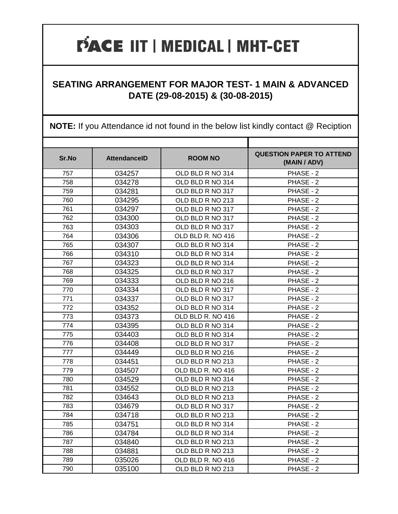#### **SEATING ARRANGEMENT FOR MAJOR TEST- 1 MAIN & ADVANCED DATE (29-08-2015) & (30-08-2015)**

| Sr.No | <b>AttendanceID</b> | <b>ROOM NO</b>    | <b>QUESTION PAPER TO ATTEND</b><br>(MAIN / ADV) |
|-------|---------------------|-------------------|-------------------------------------------------|
| 757   | 034257              | OLD BLD R NO 314  | PHASE - 2                                       |
| 758   | 034278              | OLD BLD R NO 314  | PHASE - 2                                       |
| 759   | 034281              | OLD BLD R NO 317  | PHASE - 2                                       |
| 760   | 034295              | OLD BLD R NO 213  | PHASE - 2                                       |
| 761   | 034297              | OLD BLD R NO 317  | PHASE - 2                                       |
| 762   | 034300              | OLD BLD R NO 317  | PHASE - 2                                       |
| 763   | 034303              | OLD BLD R NO 317  | PHASE - 2                                       |
| 764   | 034306              | OLD BLD R. NO 416 | PHASE - 2                                       |
| 765   | 034307              | OLD BLD R NO 314  | PHASE - 2                                       |
| 766   | 034310              | OLD BLD R NO 314  | PHASE - 2                                       |
| 767   | 034323              | OLD BLD R NO 314  | PHASE - 2                                       |
| 768   | 034325              | OLD BLD R NO 317  | PHASE - 2                                       |
| 769   | 034333              | OLD BLD R NO 216  | PHASE - 2                                       |
| 770   | 034334              | OLD BLD R NO 317  | PHASE - 2                                       |
| 771   | 034337              | OLD BLD R NO 317  | PHASE - 2                                       |
| 772   | 034352              | OLD BLD R NO 314  | PHASE - 2                                       |
| 773   | 034373              | OLD BLD R. NO 416 | PHASE - 2                                       |
| 774   | 034395              | OLD BLD R NO 314  | PHASE - 2                                       |
| 775   | 034403              | OLD BLD R NO 314  | PHASE - 2                                       |
| 776   | 034408              | OLD BLD R NO 317  | PHASE - 2                                       |
| 777   | 034449              | OLD BLD R NO 216  | PHASE - 2                                       |
| 778   | 034451              | OLD BLD R NO 213  | PHASE - 2                                       |
| 779   | 034507              | OLD BLD R. NO 416 | PHASE - 2                                       |
| 780   | 034529              | OLD BLD R NO 314  | PHASE - 2                                       |
| 781   | 034552              | OLD BLD R NO 213  | PHASE - 2                                       |
| 782   | 034643              | OLD BLD R NO 213  | PHASE - 2                                       |
| 783   | 034679              | OLD BLD R NO 317  | PHASE - 2                                       |
| 784   | 034718              | OLD BLD R NO 213  | PHASE - 2                                       |
| 785   | 034751              | OLD BLD R NO 314  | PHASE - 2                                       |
| 786   | 034784              | OLD BLD R NO 314  | PHASE - 2                                       |
| 787   | 034840              | OLD BLD R NO 213  | PHASE - 2                                       |
| 788   | 034881              | OLD BLD R NO 213  | PHASE - 2                                       |
| 789   | 035026              | OLD BLD R. NO 416 | PHASE - 2                                       |
| 790   | 035100              | OLD BLD R NO 213  | PHASE - 2                                       |